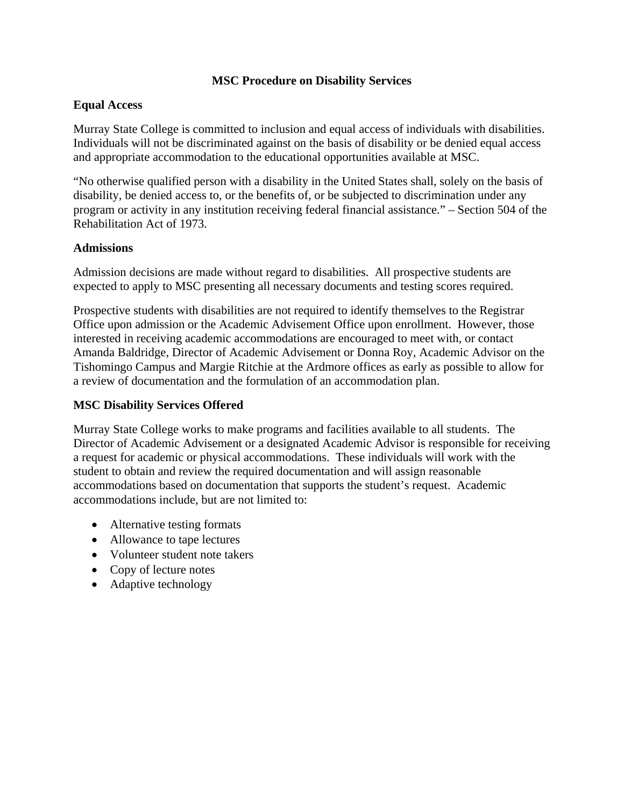## **MSC Procedure on Disability Services**

## **Equal Access**

Murray State College is committed to inclusion and equal access of individuals with disabilities. Individuals will not be discriminated against on the basis of disability or be denied equal access and appropriate accommodation to the educational opportunities available at MSC.

"No otherwise qualified person with a disability in the United States shall, solely on the basis of disability, be denied access to, or the benefits of, or be subjected to discrimination under any program or activity in any institution receiving federal financial assistance." – Section 504 of the Rehabilitation Act of 1973.

### **Admissions**

Admission decisions are made without regard to disabilities. All prospective students are expected to apply to MSC presenting all necessary documents and testing scores required.

Prospective students with disabilities are not required to identify themselves to the Registrar Office upon admission or the Academic Advisement Office upon enrollment. However, those interested in receiving academic accommodations are encouraged to meet with, or contact Amanda Baldridge, Director of Academic Advisement or Donna Roy, Academic Advisor on the Tishomingo Campus and Margie Ritchie at the Ardmore offices as early as possible to allow for a review of documentation and the formulation of an accommodation plan.

#### **MSC Disability Services Offered**

Murray State College works to make programs and facilities available to all students. The Director of Academic Advisement or a designated Academic Advisor is responsible for receiving a request for academic or physical accommodations. These individuals will work with the student to obtain and review the required documentation and will assign reasonable accommodations based on documentation that supports the student's request. Academic accommodations include, but are not limited to:

- Alternative testing formats
- Allowance to tape lectures
- Volunteer student note takers
- Copy of lecture notes
- Adaptive technology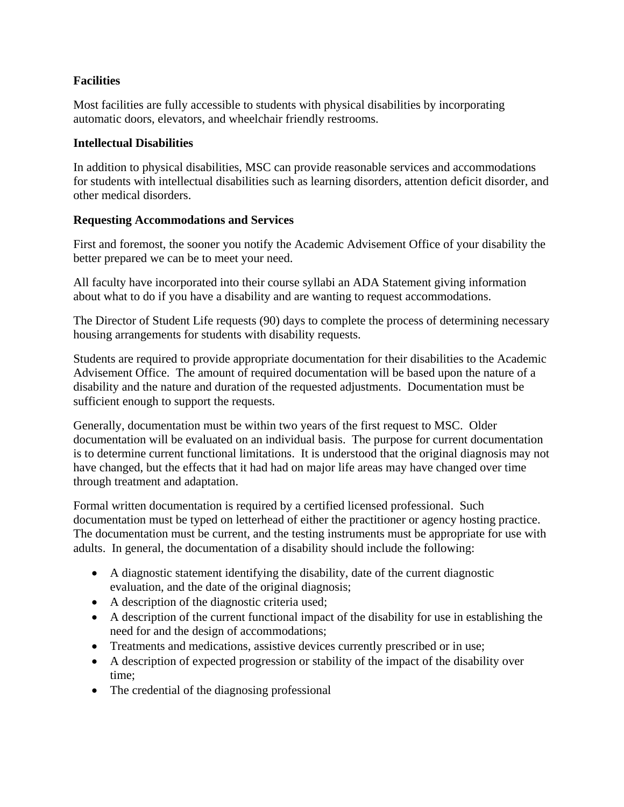# **Facilities**

Most facilities are fully accessible to students with physical disabilities by incorporating automatic doors, elevators, and wheelchair friendly restrooms.

## **Intellectual Disabilities**

In addition to physical disabilities, MSC can provide reasonable services and accommodations for students with intellectual disabilities such as learning disorders, attention deficit disorder, and other medical disorders.

# **Requesting Accommodations and Services**

First and foremost, the sooner you notify the Academic Advisement Office of your disability the better prepared we can be to meet your need.

All faculty have incorporated into their course syllabi an ADA Statement giving information about what to do if you have a disability and are wanting to request accommodations.

The Director of Student Life requests (90) days to complete the process of determining necessary housing arrangements for students with disability requests.

Students are required to provide appropriate documentation for their disabilities to the Academic Advisement Office. The amount of required documentation will be based upon the nature of a disability and the nature and duration of the requested adjustments. Documentation must be sufficient enough to support the requests.

Generally, documentation must be within two years of the first request to MSC. Older documentation will be evaluated on an individual basis. The purpose for current documentation is to determine current functional limitations. It is understood that the original diagnosis may not have changed, but the effects that it had had on major life areas may have changed over time through treatment and adaptation.

Formal written documentation is required by a certified licensed professional. Such documentation must be typed on letterhead of either the practitioner or agency hosting practice. The documentation must be current, and the testing instruments must be appropriate for use with adults. In general, the documentation of a disability should include the following:

- A diagnostic statement identifying the disability, date of the current diagnostic evaluation, and the date of the original diagnosis;
- A description of the diagnostic criteria used;
- A description of the current functional impact of the disability for use in establishing the need for and the design of accommodations;
- Treatments and medications, assistive devices currently prescribed or in use;
- A description of expected progression or stability of the impact of the disability over time;
- The credential of the diagnosing professional